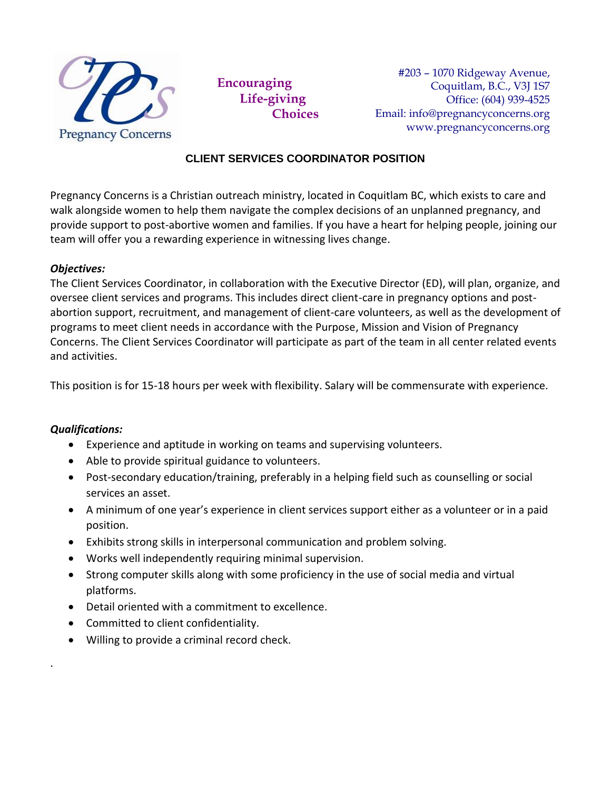

**Encouraging Life-giving Choices**

#203 – 1070 Ridgeway Avenue, Coquitlam, B.C., V3J 1S7 Office: (604) 939-4525 Email: info@pregnancyconcerns.org www.pregnancyconcerns.org

## **CLIENT SERVICES COORDINATOR POSITION**

Pregnancy Concerns is a Christian outreach ministry, located in Coquitlam BC, which exists to care and walk alongside women to help them navigate the complex decisions of an unplanned pregnancy, and provide support to post-abortive women and families. If you have a heart for helping people, joining our team will offer you a rewarding experience in witnessing lives change.

#### *Objectives:*

The Client Services Coordinator, in collaboration with the Executive Director (ED), will plan, organize, and oversee client services and programs. This includes direct client-care in pregnancy options and postabortion support, recruitment, and management of client-care volunteers, as well as the development of programs to meet client needs in accordance with the Purpose, Mission and Vision of Pregnancy Concerns. The Client Services Coordinator will participate as part of the team in all center related events and activities.

This position is for 15-18 hours per week with flexibility. Salary will be commensurate with experience.

#### *Qualifications:*

.

- Experience and aptitude in working on teams and supervising volunteers.
- Able to provide spiritual guidance to volunteers.
- Post-secondary education/training, preferably in a helping field such as counselling or social services an asset.
- A minimum of one year's experience in client services support either as a volunteer or in a paid position.
- Exhibits strong skills in interpersonal communication and problem solving.
- Works well independently requiring minimal supervision.
- Strong computer skills along with some proficiency in the use of social media and virtual platforms.
- Detail oriented with a commitment to excellence.
- Committed to client confidentiality.
- Willing to provide a criminal record check.